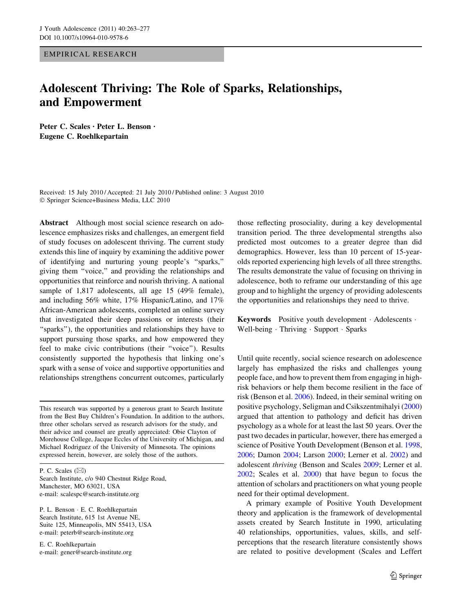EMPIRICAL RESEARCH

# Adolescent Thriving: The Role of Sparks, Relationships, and Empowerment

Peter C. Scales • Peter L. Benson • Eugene C. Roehlkepartain

Received: 15 July 2010 / Accepted: 21 July 2010 / Published online: 3 August 2010 - Springer Science+Business Media, LLC 2010

Abstract Although most social science research on adolescence emphasizes risks and challenges, an emergent field of study focuses on adolescent thriving. The current study extends this line of inquiry by examining the additive power of identifying and nurturing young people's ''sparks,'' giving them ''voice,'' and providing the relationships and opportunities that reinforce and nourish thriving. A national sample of 1,817 adolescents, all age 15 (49% female), and including 56% white, 17% Hispanic/Latino, and 17% African-American adolescents, completed an online survey that investigated their deep passions or interests (their ''sparks''), the opportunities and relationships they have to support pursuing those sparks, and how empowered they feel to make civic contributions (their ''voice''). Results consistently supported the hypothesis that linking one's spark with a sense of voice and supportive opportunities and relationships strengthens concurrent outcomes, particularly

This research was supported by a generous grant to Search Institute from the Best Buy Children's Foundation. In addition to the authors, three other scholars served as research advisors for the study, and their advice and counsel are greatly appreciated: Obie Clayton of Morehouse College, Jacque Eccles of the University of Michigan, and Michael Rodriguez of the University of Minnesota. The opinions expressed herein, however, are solely those of the authors.

P. C. Scales  $(\boxtimes)$ Search Institute, c/o 940 Chestnut Ridge Road, Manchester, MO 63021, USA e-mail: scalespc@search-institute.org

P. L. Benson - E. C. Roehlkepartain Search Institute, 615 1st Avenue NE, Suite 125, Minneapolis, MN 55413, USA e-mail: peterb@search-institute.org

E. C. Roehlkepartain e-mail: gener@search-institute.org those reflecting prosociality, during a key developmental transition period. The three developmental strengths also predicted most outcomes to a greater degree than did demographics. However, less than 10 percent of 15-yearolds reported experiencing high levels of all three strengths. The results demonstrate the value of focusing on thriving in adolescence, both to reframe our understanding of this age group and to highlight the urgency of providing adolescents the opportunities and relationships they need to thrive.

Keywords Positive youth development · Adolescents · Well-being · Thriving · Support · Sparks

Until quite recently, social science research on adolescence largely has emphasized the risks and challenges young people face, and how to prevent them from engaging in highrisk behaviors or help them become resilient in the face of risk (Benson et al. [2006\)](#page-13-0). Indeed, in their seminal writing on positive psychology, Seligman and Csikszentmihalyi ([2000\)](#page-14-0) argued that attention to pathology and deficit has driven psychology as a whole for at least the last 50 years. Over the past two decades in particular, however, there has emerged a science of Positive Youth Development (Benson et al. [1998,](#page-13-0) [2006](#page-13-0); Damon [2004](#page-13-0); Larson [2000;](#page-13-0) Lerner et al. [2002\)](#page-13-0) and adolescent thriving (Benson and Scales [2009;](#page-13-0) Lerner et al. [2002](#page-13-0); Scales et al. [2000](#page-13-0)) that have begun to focus the attention of scholars and practitioners on what young people need for their optimal development.

A primary example of Positive Youth Development theory and application is the framework of developmental assets created by Search Institute in 1990, articulating 40 relationships, opportunities, values, skills, and selfperceptions that the research literature consistently shows are related to positive development (Scales and Leffert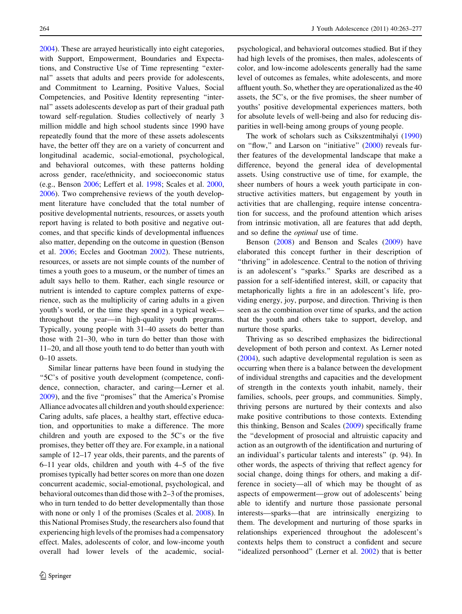[2004\)](#page-14-0). These are arrayed heuristically into eight categories, with Support, Empowerment, Boundaries and Expectations, and Constructive Use of Time representing ''external'' assets that adults and peers provide for adolescents, and Commitment to Learning, Positive Values, Social Competencies, and Positive Identity representing ''internal'' assets adolescents develop as part of their gradual path toward self-regulation. Studies collectively of nearly 3 million middle and high school students since 1990 have repeatedly found that the more of these assets adolescents have, the better off they are on a variety of concurrent and longitudinal academic, social-emotional, psychological, and behavioral outcomes, with these patterns holding across gender, race/ethnicity, and socioeconomic status (e.g., Benson [2006;](#page-13-0) Leffert et al. [1998](#page-13-0); Scales et al. [2000,](#page-13-0) [2006\)](#page-14-0). Two comprehensive reviews of the youth development literature have concluded that the total number of positive developmental nutrients, resources, or assets youth report having is related to both positive and negative outcomes, and that specific kinds of developmental influences also matter, depending on the outcome in question (Benson et al. [2006](#page-13-0); Eccles and Gootman [2002\)](#page-13-0). These nutrients, resources, or assets are not simple counts of the number of times a youth goes to a museum, or the number of times an adult says hello to them. Rather, each single resource or nutrient is intended to capture complex patterns of experience, such as the multiplicity of caring adults in a given youth's world, or the time they spend in a typical week throughout the year—in high-quality youth programs. Typically, young people with 31–40 assets do better than those with 21–30, who in turn do better than those with 11–20, and all those youth tend to do better than youth with 0–10 assets.

Similar linear patterns have been found in studying the "5C's of positive youth development (competence, confidence, connection, character, and caring—Lerner et al. [2009\)](#page-13-0), and the five ''promises'' that the America's Promise Alliance advocates all children and youth should experience: Caring adults, safe places, a healthy start, effective education, and opportunities to make a difference. The more children and youth are exposed to the 5C's or the five promises, they better off they are. For example, in a national sample of 12–17 year olds, their parents, and the parents of 6–11 year olds, children and youth with 4–5 of the five promises typically had better scores on more than one dozen concurrent academic, social-emotional, psychological, and behavioral outcomes than did those with 2–3 of the promises, who in turn tended to do better developmentally than those with none or only 1 of the promises (Scales et al. [2008](#page-13-0)). In this National Promises Study, the researchers also found that experiencing high levels of the promises had a compensatory effect. Males, adolescents of color, and low-income youth overall had lower levels of the academic, socialpsychological, and behavioral outcomes studied. But if they had high levels of the promises, then males, adolescents of color, and low-income adolescents generally had the same level of outcomes as females, white adolescents, and more affluent youth. So, whether they are operationalized as the 40 assets, the 5C's, or the five promises, the sheer number of youths' positive developmental experiences matters, both for absolute levels of well-being and also for reducing disparities in well-being among groups of young people.

The work of scholars such as Csikszentmihalyi ([1990\)](#page-13-0) on ''flow,'' and Larson on ''initiative'' ([2000\)](#page-13-0) reveals further features of the developmental landscape that make a difference, beyond the general idea of developmental assets. Using constructive use of time, for example, the sheer numbers of hours a week youth participate in constructive activities matters, but engagement by youth in activities that are challenging, require intense concentration for success, and the profound attention which arises from intrinsic motivation, all are features that add depth, and so define the optimal use of time.

Benson [\(2008](#page-13-0)) and Benson and Scales [\(2009](#page-13-0)) have elaborated this concept further in their description of ''thriving'' in adolescence. Central to the notion of thriving is an adolescent's ''sparks.'' Sparks are described as a passion for a self-identified interest, skill, or capacity that metaphorically lights a fire in an adolescent's life, providing energy, joy, purpose, and direction. Thriving is then seen as the combination over time of sparks, and the action that the youth and others take to support, develop, and nurture those sparks.

Thriving as so described emphasizes the bidirectional development of both person and context. As Lerner noted [\(2004](#page-13-0)), such adaptive developmental regulation is seen as occurring when there is a balance between the development of individual strengths and capacities and the development of strength in the contexts youth inhabit, namely, their families, schools, peer groups, and communities. Simply, thriving persons are nurtured by their contexts and also make positive contributions to those contexts. Extending this thinking, Benson and Scales ([2009\)](#page-13-0) specifically frame the ''development of prosocial and altruistic capacity and action as an outgrowth of the identification and nurturing of an individual's particular talents and interests'' (p. 94). In other words, the aspects of thriving that reflect agency for social change, doing things for others, and making a difference in society—all of which may be thought of as aspects of empowerment—grow out of adolescents' being able to identify and nurture those passionate personal interests—sparks—that are intrinsically energizing to them. The development and nurturing of those sparks in relationships experienced throughout the adolescent's contexts helps them to construct a confident and secure "idealized personhood" (Lerner et al. [2002](#page-13-0)) that is better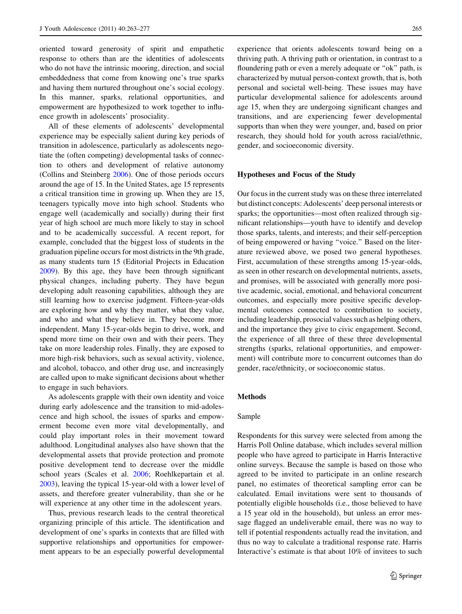oriented toward generosity of spirit and empathetic response to others than are the identities of adolescents who do not have the intrinsic mooring, direction, and social embeddedness that come from knowing one's true sparks and having them nurtured throughout one's social ecology. In this manner, sparks, relational opportunities, and empowerment are hypothesized to work together to influence growth in adolescents' prosociality.

All of these elements of adolescents' developmental experience may be especially salient during key periods of transition in adolescence, particularly as adolescents negotiate the (often competing) developmental tasks of connection to others and development of relative autonomy (Collins and Steinberg [2006\)](#page-13-0). One of those periods occurs around the age of 15. In the United States, age 15 represents a critical transition time in growing up. When they are 15, teenagers typically move into high school. Students who engage well (academically and socially) during their first year of high school are much more likely to stay in school and to be academically successful. A recent report, for example, concluded that the biggest loss of students in the graduation pipeline occurs for most districts in the 9th grade, as many students turn 15 (Editorial Projects in Education [2009\)](#page-13-0). By this age, they have been through significant physical changes, including puberty. They have begun developing adult reasoning capabilities, although they are still learning how to exercise judgment. Fifteen-year-olds are exploring how and why they matter, what they value, and who and what they believe in. They become more independent. Many 15-year-olds begin to drive, work, and spend more time on their own and with their peers. They take on more leadership roles. Finally, they are exposed to more high-risk behaviors, such as sexual activity, violence, and alcohol, tobacco, and other drug use, and increasingly are called upon to make significant decisions about whether to engage in such behaviors.

As adolescents grapple with their own identity and voice during early adolescence and the transition to mid-adolescence and high school, the issues of sparks and empowerment become even more vital developmentally, and could play important roles in their movement toward adulthood. Longitudinal analyses also have shown that the developmental assets that provide protection and promote positive development tend to decrease over the middle school years (Scales et al. [2006;](#page-14-0) Roehlkepartain et al. [2003\)](#page-13-0), leaving the typical 15-year-old with a lower level of assets, and therefore greater vulnerability, than she or he will experience at any other time in the adolescent years.

Thus, previous research leads to the central theoretical organizing principle of this article. The identification and development of one's sparks in contexts that are filled with supportive relationships and opportunities for empowerment appears to be an especially powerful developmental experience that orients adolescents toward being on a thriving path. A thriving path or orientation, in contrast to a floundering path or even a merely adequate or ''ok'' path, is characterized by mutual person-context growth, that is, both personal and societal well-being. These issues may have particular developmental salience for adolescents around age 15, when they are undergoing significant changes and transitions, and are experiencing fewer developmental supports than when they were younger, and, based on prior research, they should hold for youth across racial/ethnic, gender, and socioeconomic diversity.

#### Hypotheses and Focus of the Study

Our focus in the current study was on these three interrelated but distinct concepts: Adolescents' deep personal interests or sparks; the opportunities—most often realized through significant relationships—youth have to identify and develop those sparks, talents, and interests; and their self-perception of being empowered or having ''voice.'' Based on the literature reviewed above, we posed two general hypotheses. First, accumulation of these strengths among 15-year-olds, as seen in other research on developmental nutrients, assets, and promises, will be associated with generally more positive academic, social, emotional, and behavioral concurrent outcomes, and especially more positive specific developmental outcomes connected to contribution to society, including leadership, prosocial values such as helping others, and the importance they give to civic engagement. Second, the experience of all three of these three developmental strengths (sparks, relational opportunities, and empowerment) will contribute more to concurrent outcomes than do gender, race/ethnicity, or socioeconomic status.

### Methods

### Sample

Respondents for this survey were selected from among the Harris Poll Online database, which includes several million people who have agreed to participate in Harris Interactive online surveys. Because the sample is based on those who agreed to be invited to participate in an online research panel, no estimates of theoretical sampling error can be calculated. Email invitations were sent to thousands of potentially eligible households (i.e., those believed to have a 15 year old in the household), but unless an error message flagged an undeliverable email, there was no way to tell if potential respondents actually read the invitation, and thus no way to calculate a traditional response rate. Harris Interactive's estimate is that about 10% of invitees to such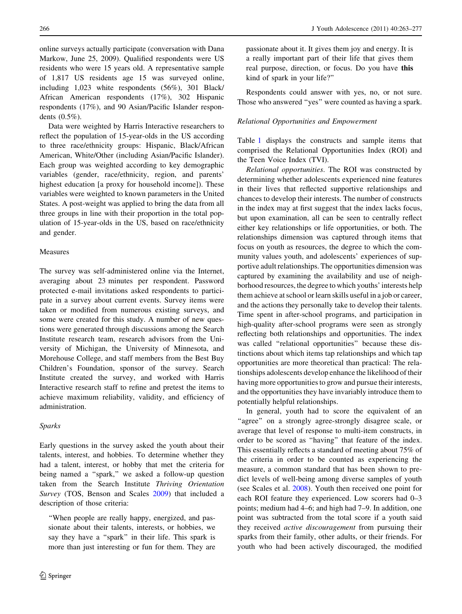online surveys actually participate (conversation with Dana Markow, June 25, 2009). Qualified respondents were US residents who were 15 years old. A representative sample of 1,817 US residents age 15 was surveyed online, including 1,023 white respondents (56%), 301 Black/ African American respondents (17%), 302 Hispanic respondents (17%), and 90 Asian/Pacific Islander respondents (0.5%).

Data were weighted by Harris Interactive researchers to reflect the population of 15-year-olds in the US according to three race/ethnicity groups: Hispanic, Black/African American, White/Other (including Asian/Pacific Islander). Each group was weighted according to key demographic variables (gender, race/ethnicity, region, and parents' highest education [a proxy for household income]). These variables were weighted to known parameters in the United States. A post-weight was applied to bring the data from all three groups in line with their proportion in the total population of 15-year-olds in the US, based on race/ethnicity and gender.

### Measures

The survey was self-administered online via the Internet, averaging about 23 minutes per respondent. Password protected e-mail invitations asked respondents to participate in a survey about current events. Survey items were taken or modified from numerous existing surveys, and some were created for this study. A number of new questions were generated through discussions among the Search Institute research team, research advisors from the University of Michigan, the University of Minnesota, and Morehouse College, and staff members from the Best Buy Children's Foundation, sponsor of the survey. Search Institute created the survey, and worked with Harris Interactive research staff to refine and pretest the items to achieve maximum reliability, validity, and efficiency of administration.

### Sparks

Early questions in the survey asked the youth about their talents, interest, and hobbies. To determine whether they had a talent, interest, or hobby that met the criteria for being named a ''spark,'' we asked a follow-up question taken from the Search Institute Thriving Orientation Survey (TOS, Benson and Scales [2009](#page-13-0)) that included a description of those criteria:

''When people are really happy, energized, and passionate about their talents, interests, or hobbies, we say they have a ''spark'' in their life. This spark is more than just interesting or fun for them. They are passionate about it. It gives them joy and energy. It is a really important part of their life that gives them real purpose, direction, or focus. Do you have this kind of spark in your life?''

Respondents could answer with yes, no, or not sure. Those who answered ''yes'' were counted as having a spark.

### Relational Opportunities and Empowerment

Table [1](#page-4-0) displays the constructs and sample items that comprised the Relational Opportunities Index (ROI) and the Teen Voice Index (TVI).

Relational opportunities. The ROI was constructed by determining whether adolescents experienced nine features in their lives that reflected supportive relationships and chances to develop their interests. The number of constructs in the index may at first suggest that the index lacks focus, but upon examination, all can be seen to centrally reflect either key relationships or life opportunities, or both. The relationships dimension was captured through items that focus on youth as resources, the degree to which the community values youth, and adolescents' experiences of supportive adult relationships. The opportunities dimension was captured by examining the availability and use of neighborhood resources, the degree to which youths' interests help them achieve at school or learn skills useful in a job or career, and the actions they personally take to develop their talents. Time spent in after-school programs, and participation in high-quality after-school programs were seen as strongly reflecting both relationships and opportunities. The index was called ''relational opportunities'' because these distinctions about which items tap relationships and which tap opportunities are more theoretical than practical: The relationships adolescents develop enhance the likelihood of their having more opportunities to grow and pursue their interests, and the opportunities they have invariably introduce them to potentially helpful relationships.

In general, youth had to score the equivalent of an "agree" on a strongly agree-strongly disagree scale, or average that level of response to multi-item constructs, in order to be scored as ''having'' that feature of the index. This essentially reflects a standard of meeting about 75% of the criteria in order to be counted as experiencing the measure, a common standard that has been shown to predict levels of well-being among diverse samples of youth (see Scales et al. [2008](#page-13-0)). Youth then received one point for each ROI feature they experienced. Low scorers had 0–3 points; medium had 4–6; and high had 7–9. In addition, one point was subtracted from the total score if a youth said they received active discouragement from pursuing their sparks from their family, other adults, or their friends. For youth who had been actively discouraged, the modified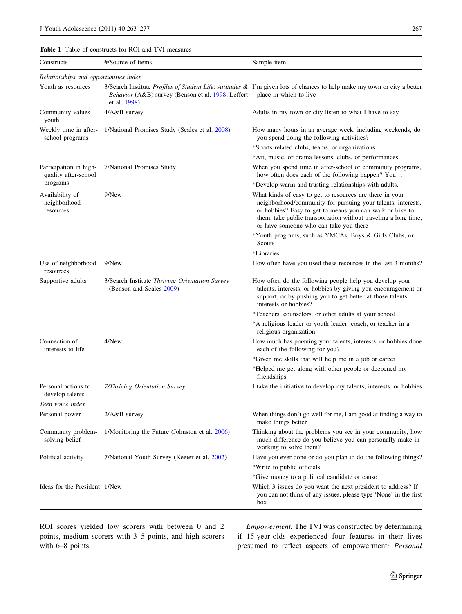### <span id="page-4-0"></span>Table 1 Table of constructs for ROI and TVI measures

| Constructs                                     | #/Source of items                                                          | Sample item                                                                                                                                                                                                                                                                                       |  |  |
|------------------------------------------------|----------------------------------------------------------------------------|---------------------------------------------------------------------------------------------------------------------------------------------------------------------------------------------------------------------------------------------------------------------------------------------------|--|--|
| Relationships and opportunities index          |                                                                            |                                                                                                                                                                                                                                                                                                   |  |  |
| Youth as resources                             | Behavior (A&B) survey (Benson et al. 1998; Leffert<br>et al. 1998)         | 3/Search Institute Profiles of Student Life: Attitudes & I'm given lots of chances to help make my town or city a better<br>place in which to live                                                                                                                                                |  |  |
| Community values<br>youth                      | 4/A&B survey                                                               | Adults in my town or city listen to what I have to say                                                                                                                                                                                                                                            |  |  |
| Weekly time in after-<br>school programs       | 1/National Promises Study (Scales et al. 2008)                             | How many hours in an average week, including weekends, do<br>you spend doing the following activities?                                                                                                                                                                                            |  |  |
|                                                |                                                                            | *Sports-related clubs, teams, or organizations                                                                                                                                                                                                                                                    |  |  |
|                                                |                                                                            | *Art, music, or drama lessons, clubs, or performances                                                                                                                                                                                                                                             |  |  |
| Participation in high-<br>quality after-school | 7/National Promises Study                                                  | When you spend time in after-school or community programs,<br>how often does each of the following happen? You                                                                                                                                                                                    |  |  |
| programs                                       |                                                                            | *Develop warm and trusting relationships with adults.                                                                                                                                                                                                                                             |  |  |
| Availability of<br>neighborhood<br>resources   | 9/New                                                                      | What kinds of easy to get to resources are there in your<br>neighborhood/community for pursuing your talents, interests,<br>or hobbies? Easy to get to means you can walk or bike to<br>them, take public transportation without traveling a long time,<br>or have someone who can take you there |  |  |
|                                                |                                                                            | *Youth programs, such as YMCAs, Boys & Girls Clubs, or<br>Scouts                                                                                                                                                                                                                                  |  |  |
|                                                |                                                                            | *Libraries                                                                                                                                                                                                                                                                                        |  |  |
| Use of neighborhood<br>resources               | 9/New                                                                      | How often have you used these resources in the last 3 months?                                                                                                                                                                                                                                     |  |  |
| Supportive adults                              | 3/Search Institute Thriving Orientation Survey<br>(Benson and Scales 2009) | How often do the following people help you develop your<br>talents, interests, or hobbies by giving you encouragement or<br>support, or by pushing you to get better at those talents,<br>interests or hobbies?                                                                                   |  |  |
|                                                |                                                                            | *Teachers, counselors, or other adults at your school                                                                                                                                                                                                                                             |  |  |
|                                                |                                                                            | *A religious leader or youth leader, coach, or teacher in a<br>religious organization                                                                                                                                                                                                             |  |  |
| Connection of<br>interests to life             | 4/New                                                                      | How much has pursuing your talents, interests, or hobbies done<br>each of the following for you?                                                                                                                                                                                                  |  |  |
|                                                |                                                                            | *Given me skills that will help me in a job or career                                                                                                                                                                                                                                             |  |  |
|                                                |                                                                            | *Helped me get along with other people or deepened my<br>friendships                                                                                                                                                                                                                              |  |  |
| Personal actions to<br>develop talents         | 7/Thriving Orientation Survey                                              | I take the initiative to develop my talents, interests, or hobbies                                                                                                                                                                                                                                |  |  |
| Teen voice index                               |                                                                            |                                                                                                                                                                                                                                                                                                   |  |  |
| Personal power                                 | $2/A&B$ survey                                                             | When things don't go well for me, I am good at finding a way to<br>make things better                                                                                                                                                                                                             |  |  |
| Community problem-<br>solving belief           | 1/Monitoring the Future (Johnston et al. $2006$ )                          | Thinking about the problems you see in your community, how<br>much difference do you believe you can personally make in<br>working to solve them?                                                                                                                                                 |  |  |
| Political activity                             | 7/National Youth Survey (Keeter et al. 2002)                               | Have you ever done or do you plan to do the following things?<br>*Write to public officials                                                                                                                                                                                                       |  |  |
|                                                |                                                                            | *Give money to a political candidate or cause                                                                                                                                                                                                                                                     |  |  |
| Ideas for the President 1/New                  |                                                                            | Which 3 issues do you want the next president to address? If<br>you can not think of any issues, please type 'None' in the first<br>box                                                                                                                                                           |  |  |

ROI scores yielded low scorers with between 0 and 2 points, medium scorers with 3–5 points, and high scorers with 6–8 points.

Empowerment. The TVI was constructed by determining if 15-year-olds experienced four features in their lives presumed to reflect aspects of empowerment: Personal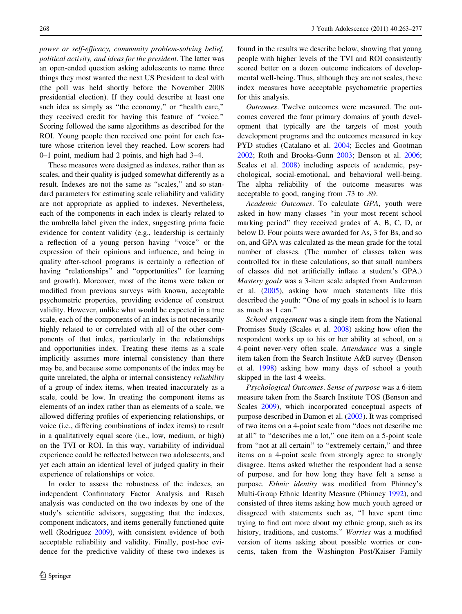power or self-efficacy, community problem-solving belief, political activity, and ideas for the president. The latter was an open-ended question asking adolescents to name three things they most wanted the next US President to deal with (the poll was held shortly before the November 2008 presidential election). If they could describe at least one such idea as simply as "the economy," or "health care," they received credit for having this feature of ''voice.'' Scoring followed the same algorithms as described for the ROI. Young people then received one point for each feature whose criterion level they reached. Low scorers had 0–1 point, medium had 2 points, and high had 3–4.

These measures were designed as indexes, rather than as scales, and their quality is judged somewhat differently as a result. Indexes are not the same as ''scales,'' and so standard parameters for estimating scale reliability and validity are not appropriate as applied to indexes. Nevertheless, each of the components in each index is clearly related to the umbrella label given the index, suggesting prima facie evidence for content validity (e.g., leadership is certainly a reflection of a young person having ''voice'' or the expression of their opinions and influence, and being in quality after-school programs is certainly a reflection of having "relationships" and "opportunities" for learning and growth). Moreover, most of the items were taken or modified from previous surveys with known, acceptable psychometric properties, providing evidence of construct validity. However, unlike what would be expected in a true scale, each of the components of an index is not necessarily highly related to or correlated with all of the other components of that index, particularly in the relationships and opportunities index. Treating these items as a scale implicitly assumes more internal consistency than there may be, and because some components of the index may be quite unrelated, the alpha or internal consistency reliability of a group of index items, when treated inaccurately as a scale, could be low. In treating the component items as elements of an index rather than as elements of a scale, we allowed differing profiles of experiencing relationships, or voice (i.e., differing combinations of index items) to result in a qualitatively equal score (i.e., low, medium, or high) on the TVI or ROI. In this way, variability of individual experience could be reflected between two adolescents, and yet each attain an identical level of judged quality in their experience of relationships or voice.

In order to assess the robustness of the indexes, an independent Confirmatory Factor Analysis and Rasch analysis was conducted on the two indexes by one of the study's scientific advisors, suggesting that the indexes, component indicators, and items generally functioned quite well (Rodriguez [2009\)](#page-13-0), with consistent evidence of both acceptable reliability and validity. Finally, post-hoc evidence for the predictive validity of these two indexes is found in the results we describe below, showing that young people with higher levels of the TVI and ROI consistently scored better on a dozen outcome indicators of developmental well-being. Thus, although they are not scales, these index measures have acceptable psychometric properties for this analysis.

Outcomes. Twelve outcomes were measured. The outcomes covered the four primary domains of youth development that typically are the targets of most youth development programs and the outcomes measured in key PYD studies (Catalano et al. [2004;](#page-13-0) Eccles and Gootman [2002](#page-13-0); Roth and Brooks-Gunn [2003](#page-13-0); Benson et al. [2006](#page-13-0); Scales et al. [2008\)](#page-13-0) including aspects of academic, psychological, social-emotional, and behavioral well-being. The alpha reliability of the outcome measures was acceptable to good, ranging from .73 to .89.

Academic Outcomes. To calculate GPA, youth were asked in how many classes ''in your most recent school marking period'' they received grades of A, B, C, D, or below D. Four points were awarded for As, 3 for Bs, and so on, and GPA was calculated as the mean grade for the total number of classes. (The number of classes taken was controlled for in these calculations, so that small numbers of classes did not artificially inflate a student's GPA.) Mastery goals was a 3-item scale adapted from Anderman et al. [\(2005](#page-13-0)), asking how much statements like this described the youth: ''One of my goals in school is to learn as much as I can.''

School engagement was a single item from the National Promises Study (Scales et al. [2008](#page-13-0)) asking how often the respondent works up to his or her ability at school, on a 4-point never-very often scale. Attendance was a single item taken from the Search Institute A&B survey (Benson et al. [1998\)](#page-13-0) asking how many days of school a youth skipped in the last 4 weeks.

Psychological Outcomes. Sense of purpose was a 6-item measure taken from the Search Institute TOS (Benson and Scales [2009\)](#page-13-0), which incorporated conceptual aspects of purpose described in Damon et al. [\(2003\)](#page-13-0). It was comprised of two items on a 4-point scale from ''does not describe me at all'' to ''describes me a lot,'' one item on a 5-point scale from "not at all certain" to "extremely certain," and three items on a 4-point scale from strongly agree to strongly disagree. Items asked whether the respondent had a sense of purpose, and for how long they have felt a sense a purpose. Ethnic identity was modified from Phinney's Multi-Group Ethnic Identity Measure (Phinney [1992\)](#page-13-0), and consisted of three items asking how much youth agreed or disagreed with statements such as, ''I have spent time trying to find out more about my ethnic group, such as its history, traditions, and customs.'' Worries was a modified version of items asking about possible worries or concerns, taken from the Washington Post/Kaiser Family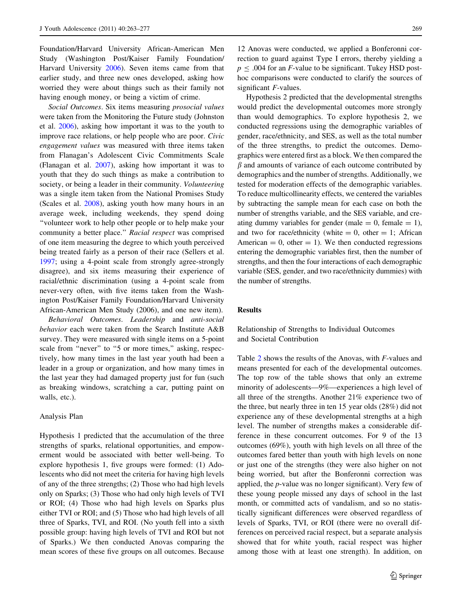Foundation/Harvard University African-American Men Study (Washington Post/Kaiser Family Foundation/ Harvard University [2006](#page-14-0)). Seven items came from that earlier study, and three new ones developed, asking how worried they were about things such as their family not having enough money, or being a victim of crime.

Social Outcomes. Six items measuring prosocial values were taken from the Monitoring the Future study (Johnston et al. [2006\)](#page-13-0), asking how important it was to the youth to improve race relations, or help people who are poor. Civic engagement values was measured with three items taken from Flanagan's Adolescent Civic Commitments Scale (Flanagan et al. [2007\)](#page-13-0), asking how important it was to youth that they do such things as make a contribution to society, or being a leader in their community. Volunteering was a single item taken from the National Promises Study (Scales et al. [2008\)](#page-13-0), asking youth how many hours in an average week, including weekends, they spend doing ''volunteer work to help other people or to help make your community a better place.'' Racial respect was comprised of one item measuring the degree to which youth perceived being treated fairly as a person of their race (Sellers et al. [1997;](#page-14-0) using a 4-point scale from strongly agree-strongly disagree), and six items measuring their experience of racial/ethnic discrimination (using a 4-point scale from never-very often, with five items taken from the Washington Post/Kaiser Family Foundation/Harvard University African-American Men Study (2006), and one new item).

Behavioral Outcomes. Leadership and anti-social behavior each were taken from the Search Institute A&B survey. They were measured with single items on a 5-point scale from "never" to "5 or more times," asking, respectively, how many times in the last year youth had been a leader in a group or organization, and how many times in the last year they had damaged property just for fun (such as breaking windows, scratching a car, putting paint on walls, etc.).

### Analysis Plan

Hypothesis 1 predicted that the accumulation of the three strengths of sparks, relational opportunities, and empowerment would be associated with better well-being. To explore hypothesis 1, five groups were formed: (1) Adolescents who did not meet the criteria for having high levels of any of the three strengths; (2) Those who had high levels only on Sparks; (3) Those who had only high levels of TVI or ROI; (4) Those who had high levels on Sparks plus either TVI or ROI; and (5) Those who had high levels of all three of Sparks, TVI, and ROI. (No youth fell into a sixth possible group: having high levels of TVI and ROI but not of Sparks.) We then conducted Anovas comparing the mean scores of these five groups on all outcomes. Because

12 Anovas were conducted, we applied a Bonferonni correction to guard against Type I errors, thereby yielding a  $p < .004$  for an *F*-value to be significant. Tukey HSD posthoc comparisons were conducted to clarify the sources of significant *F*-values.

Hypothesis 2 predicted that the developmental strengths would predict the developmental outcomes more strongly than would demographics. To explore hypothesis 2, we conducted regressions using the demographic variables of gender, race/ethnicity, and SES, as well as the total number of the three strengths, to predict the outcomes. Demographics were entered first as a block. We then compared the  $\beta$  and amounts of variance of each outcome contributed by demographics and the number of strengths. Additionally, we tested for moderation effects of the demographic variables. To reduce multicollinearity effects, we centered the variables by subtracting the sample mean for each case on both the number of strengths variable, and the SES variable, and creating dummy variables for gender (male  $= 0$ , female  $= 1$ ), and two for race/ethnicity (white  $= 0$ , other  $= 1$ ; African American  $= 0$ , other  $= 1$ ). We then conducted regressions entering the demographic variables first, then the number of strengths, and then the four interactions of each demographic variable (SES, gender, and two race/ethnicity dummies) with the number of strengths.

# Results

# Relationship of Strengths to Individual Outcomes and Societal Contribution

Table [2](#page-7-0) shows the results of the Anovas, with F-values and means presented for each of the developmental outcomes. The top row of the table shows that only an extreme minority of adolescents—9%—experiences a high level of all three of the strengths. Another 21% experience two of the three, but nearly three in ten 15 year olds (28%) did not experience any of these developmental strengths at a high level. The number of strengths makes a considerable difference in these concurrent outcomes. For 9 of the 13 outcomes (69%), youth with high levels on all three of the outcomes fared better than youth with high levels on none or just one of the strengths (they were also higher on not being worried, but after the Bonferonni correction was applied, the p-value was no longer significant). Very few of these young people missed any days of school in the last month, or committed acts of vandalism, and so no statistically significant differences were observed regardless of levels of Sparks, TVI, or ROI (there were no overall differences on perceived racial respect, but a separate analysis showed that for white youth, racial respect was higher among those with at least one strength). In addition, on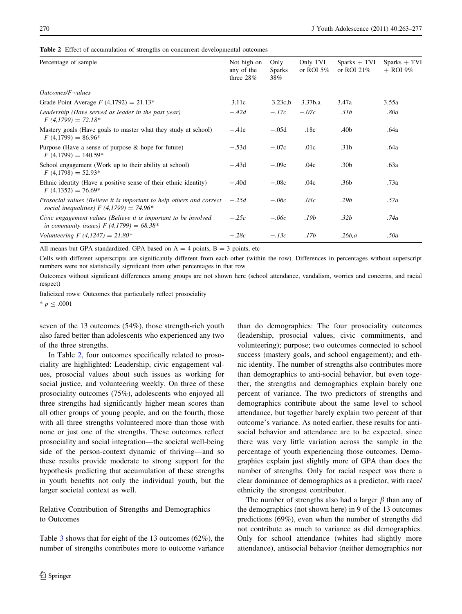<span id="page-7-0"></span>

|  |  |  |  |  |  |  |  | Table 2 Effect of accumulation of strengths on concurrent developmental outcomes |  |
|--|--|--|--|--|--|--|--|----------------------------------------------------------------------------------|--|
|--|--|--|--|--|--|--|--|----------------------------------------------------------------------------------|--|

| Percentage of sample                                                                                              | Not high on<br>any of the<br>three $28%$ | Only<br><b>Sparks</b><br>38% | Only TVI<br>or ROI $5%$ | $S$ parks + TVI<br>or ROI $21\%$ | $S$ parks + TVI<br>$+$ ROI 9% |
|-------------------------------------------------------------------------------------------------------------------|------------------------------------------|------------------------------|-------------------------|----------------------------------|-------------------------------|
| Outcomes/F-values                                                                                                 |                                          |                              |                         |                                  |                               |
| Grade Point Average $F(4,1792) = 21.13*$                                                                          | 3.11c                                    | 3.23c.b                      | 3.37 <sub>b,a</sub>     | 3.47a                            | 3.55a                         |
| Leadership (Have served as leader in the past year)<br>$F(4,1799) = 72.18*$                                       | $-.42d$                                  | $-.17c$                      | $-.07c$                 | .31b                             | .80a                          |
| Mastery goals (Have goals to master what they study at school)<br>$F(4,1799) = 86.96*$                            | $-.41e$                                  | $-.05d$                      | .18c                    | .40 <sub>b</sub>                 | .64a                          |
| Purpose (Have a sense of purpose $\&$ hope for future)<br>$F(4,1799) = 140.59*$                                   | $-.53d$                                  | $-.07c$                      | .01c                    | .31 <sub>b</sub>                 | .64a                          |
| School engagement (Work up to their ability at school)<br>$F(4,1798) = 52.93*$                                    | $-.43d$                                  | $-.09c$                      | .04c                    | .30 <sub>b</sub>                 | .63a                          |
| Ethnic identity (Have a positive sense of their ethnic identity)<br>$F(4,1352) = 76.69*$                          | $-.40d$                                  | $-.08c$                      | .04c                    | .36b                             | .73a                          |
| Prosocial values (Believe it is important to help others and correct<br>social inequalities) $F(4,1799) = 74.96*$ | $-.25d$                                  | $-.06c$                      | .03c                    | .29 <i>b</i>                     | .57a                          |
| Civic engagement values (Believe it is important to be involved<br>in community issues) $F(4,1799) = 68.38*$      | $-.25c$                                  | $-.06c$                      | .19b                    | .32b                             | .74a                          |
| Volunteering F (4,1247) = $21.80*$                                                                                | $-.28c$                                  | $-.13c$                      | .17b                    | .26b.a                           | .50a                          |

All means but GPA standardized. GPA based on  $A = 4$  points,  $B = 3$  points, etc

Cells with different superscripts are significantly different from each other (within the row). Differences in percentages without superscript numbers were not statistically significant from other percentages in that row

Outcomes without significant differences among groups are not shown here (school attendance, vandalism, worries and concerns, and racial respect)

Italicized rows: Outcomes that particularly reflect prosociality

 $* p \le .0001$ 

seven of the 13 outcomes (54%), those strength-rich youth also fared better than adolescents who experienced any two of the three strengths.

In Table 2, four outcomes specifically related to prosociality are highlighted: Leadership, civic engagement values, prosocial values about such issues as working for social justice, and volunteering weekly. On three of these prosociality outcomes (75%), adolescents who enjoyed all three strengths had significantly higher mean scores than all other groups of young people, and on the fourth, those with all three strengths volunteered more than those with none or just one of the strengths. These outcomes reflect prosociality and social integration—the societal well-being side of the person-context dynamic of thriving—and so these results provide moderate to strong support for the hypothesis predicting that accumulation of these strengths in youth benefits not only the individual youth, but the larger societal context as well.

Relative Contribution of Strengths and Demographics to Outcomes

Table [3](#page-8-0) shows that for eight of the 13 outcomes (62%), the number of strengths contributes more to outcome variance

than do demographics: The four prosociality outcomes (leadership, prosocial values, civic commitments, and volunteering); purpose; two outcomes connected to school success (mastery goals, and school engagement); and ethnic identity. The number of strengths also contributes more than demographics to anti-social behavior, but even together, the strengths and demographics explain barely one percent of variance. The two predictors of strengths and demographics contribute about the same level to school attendance, but together barely explain two percent of that outcome's variance. As noted earlier, these results for antisocial behavior and attendance are to be expected, since there was very little variation across the sample in the percentage of youth experiencing those outcomes. Demographics explain just slightly more of GPA than does the number of strengths. Only for racial respect was there a clear dominance of demographics as a predictor, with race/ ethnicity the strongest contributor.

The number of strengths also had a larger  $\beta$  than any of the demographics (not shown here) in 9 of the 13 outcomes predictions (69%), even when the number of strengths did not contribute as much to variance as did demographics. Only for school attendance (whites had slightly more attendance), antisocial behavior (neither demographics nor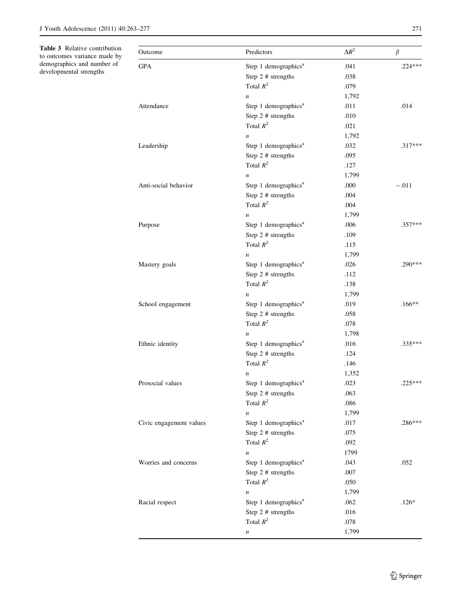<span id="page-8-0"></span>Table 3 Relative contribution to outcomes variance made by demographics and number of developmental strengths

| Outcome                 | Predictors                                           | $\Delta R^2$ | $\beta$   |
|-------------------------|------------------------------------------------------|--------------|-----------|
| GPA                     | Step 1 demographics <sup>a</sup>                     | .041         | $.224***$ |
|                         | Step 2 # strengths                                   | .038         |           |
|                         | Total $R^2$                                          | .079         |           |
|                         | $\boldsymbol{n}$                                     | 1,792        |           |
| Attendance              | Step 1 demographics <sup>a</sup>                     | .011         | .014      |
|                         | Step 2 # strengths                                   | .010         |           |
|                         | Total $R^2$                                          | .021         |           |
|                         | $\boldsymbol{n}$                                     | 1,792        |           |
| Leadership              | Step 1 demographics <sup>a</sup>                     | .032         | $.317***$ |
|                         | Step 2 # strengths                                   | .095         |           |
|                         | Total $R^2$                                          | .127         |           |
|                         | $\boldsymbol{n}$                                     | 1,799        |           |
| Anti-social behavior    | Step 1 demographics <sup>a</sup>                     | .000         | $-.011$   |
|                         | Step 2 # strengths                                   | .004         |           |
|                         | Total $R^2$                                          | .004         |           |
|                         | $\boldsymbol{n}$                                     | 1,799        |           |
| Purpose                 | Step 1 demographics <sup>a</sup>                     | .006         | $.357***$ |
|                         | Step 2 # strengths                                   | .109         |           |
|                         | Total $R^2$                                          | .115         |           |
|                         | $\boldsymbol{n}$                                     | 1,799        |           |
| Mastery goals           | Step 1 demographics <sup>a</sup>                     | .026         | $.290***$ |
|                         | Step 2 # strengths                                   | .112         |           |
|                         | Total $R^2$                                          | .138         |           |
|                         | $\boldsymbol{n}$                                     | 1,799        |           |
| School engagement       | Step 1 demographics <sup>a</sup>                     | .019         | $.166**$  |
|                         | Step 2 # strengths                                   | .058         |           |
|                         | Total $R^2$                                          | .078         |           |
|                         | $\boldsymbol{n}$                                     | 1,798        |           |
| Ethnic identity         | Step 1 demographics <sup>a</sup>                     | .016         | $.335***$ |
|                         | Step 2 # strengths                                   | .124         |           |
|                         | Total $R^2$                                          | .146         |           |
|                         | $\boldsymbol{n}$                                     | 1,352        |           |
| Prosocial values        | Step 1 demographics <sup>a</sup>                     | .023         | $.225***$ |
|                         | Step 2 # strengths                                   | .063         |           |
|                         | Total $R^2$                                          | .086         |           |
|                         | $\boldsymbol{n}$                                     | 1,799        |           |
| Civic engagement values | Step 1 demographics <sup>a</sup>                     | .017         | $.286***$ |
|                         | Step 2 # strengths                                   | .075         |           |
|                         | Total $R^2$                                          | .092         |           |
|                         |                                                      | 1799         |           |
| Worries and concerns    | $\boldsymbol{n}$<br>Step 1 demographics <sup>a</sup> | .043         | .052      |
|                         | Step 2 # strengths                                   |              |           |
|                         | Total $R^2$                                          | .007         |           |
|                         |                                                      | .050         |           |
|                         | $\boldsymbol{n}$                                     | 1,799        |           |
| Racial respect          | Step 1 demographics <sup>a</sup>                     | .062         | $.126*$   |
|                         | Step 2 # strengths                                   | .016         |           |
|                         | Total $R^2$                                          | .078         |           |
|                         | $\boldsymbol{n}$                                     | 1,799        |           |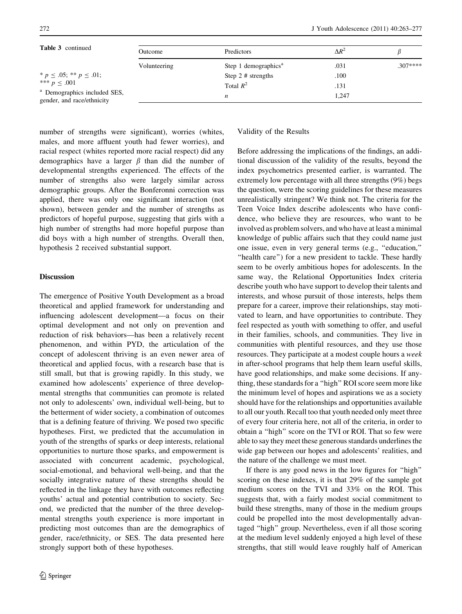| <b>Table 3</b> continued                                              | Outcome      | Predictors                       | $\Delta R^2$ |           |
|-----------------------------------------------------------------------|--------------|----------------------------------|--------------|-----------|
|                                                                       | Volunteering | Step 1 demographics <sup>a</sup> | .031         | $.307***$ |
| * $p \leq .05$ ; ** $p \leq .01$ ;                                    |              | Step $2 \#$ strengths            | .100         |           |
| *** $p \leq .001$                                                     |              | Total $R^2$                      | .131         |           |
| <sup>a</sup> Demographics included SES,<br>gender, and race/ethnicity |              | n                                | 1.247        |           |

number of strengths were significant), worries (whites, males, and more affluent youth had fewer worries), and racial respect (whites reported more racial respect) did any demographics have a larger  $\beta$  than did the number of developmental strengths experienced. The effects of the number of strengths also were largely similar across demographic groups. After the Bonferonni correction was applied, there was only one significant interaction (not shown), between gender and the number of strengths as predictors of hopeful purpose, suggesting that girls with a high number of strengths had more hopeful purpose than did boys with a high number of strengths. Overall then, hypothesis 2 received substantial support.

# Discussion

The emergence of Positive Youth Development as a broad theoretical and applied framework for understanding and influencing adolescent development—a focus on their optimal development and not only on prevention and reduction of risk behaviors—has been a relatively recent phenomenon, and within PYD, the articulation of the concept of adolescent thriving is an even newer area of theoretical and applied focus, with a research base that is still small, but that is growing rapidly. In this study, we examined how adolescents' experience of three developmental strengths that communities can promote is related not only to adolescents' own, individual well-being, but to the betterment of wider society, a combination of outcomes that is a defining feature of thriving. We posed two specific hypotheses. First, we predicted that the accumulation in youth of the strengths of sparks or deep interests, relational opportunities to nurture those sparks, and empowerment is associated with concurrent academic, psychological, social-emotional, and behavioral well-being, and that the socially integrative nature of these strengths should be reflected in the linkage they have with outcomes reflecting youths' actual and potential contribution to society. Second, we predicted that the number of the three developmental strengths youth experience is more important in predicting most outcomes than are the demographics of gender, race/ethnicity, or SES. The data presented here strongly support both of these hypotheses.

### Validity of the Results

Before addressing the implications of the findings, an additional discussion of the validity of the results, beyond the index psychometrics presented earlier, is warranted. The extremely low percentage with all three strengths (9%) begs the question, were the scoring guidelines for these measures unrealistically stringent? We think not. The criteria for the Teen Voice Index describe adolescents who have confidence, who believe they are resources, who want to be involved as problem solvers, and who have at least a minimal knowledge of public affairs such that they could name just one issue, even in very general terms (e.g., ''education,'' "health care") for a new president to tackle. These hardly seem to be overly ambitious hopes for adolescents. In the same way, the Relational Opportunities Index criteria describe youth who have support to develop their talents and interests, and whose pursuit of those interests, helps them prepare for a career, improve their relationships, stay motivated to learn, and have opportunities to contribute. They feel respected as youth with something to offer, and useful in their families, schools, and communities. They live in communities with plentiful resources, and they use those resources. They participate at a modest couple hours a week in after-school programs that help them learn useful skills, have good relationships, and make some decisions. If anything, these standards for a ''high'' ROI score seem more like the minimum level of hopes and aspirations we as a society should have for the relationships and opportunities available to all our youth. Recall too that youth needed only meet three of every four criteria here, not all of the criteria, in order to obtain a ''high'' score on the TVI or ROI. That so few were able to say they meet these generous standards underlines the wide gap between our hopes and adolescents' realities, and the nature of the challenge we must meet.

If there is any good news in the low figures for ''high'' scoring on these indexes, it is that 29% of the sample got medium scores on the TVI and 33% on the ROI. This suggests that, with a fairly modest social commitment to build these strengths, many of those in the medium groups could be propelled into the most developmentally advantaged ''high'' group. Nevertheless, even if all those scoring at the medium level suddenly enjoyed a high level of these strengths, that still would leave roughly half of American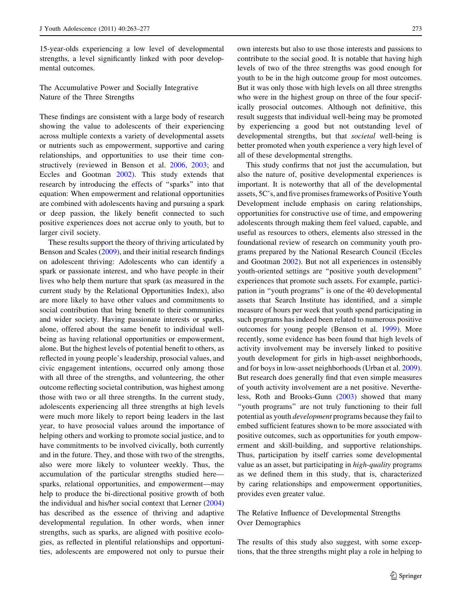15-year-olds experiencing a low level of developmental strengths, a level significantly linked with poor developmental outcomes.

The Accumulative Power and Socially Integrative Nature of the Three Strengths

These findings are consistent with a large body of research showing the value to adolescents of their experiencing across multiple contexts a variety of developmental assets or nutrients such as empowerment, supportive and caring relationships, and opportunities to use their time constructively (reviewed in Benson et al. [2006](#page-13-0), [2003;](#page-13-0) and Eccles and Gootman [2002](#page-13-0)). This study extends that research by introducing the effects of ''sparks'' into that equation: When empowerment and relational opportunities are combined with adolescents having and pursuing a spark or deep passion, the likely benefit connected to such positive experiences does not accrue only to youth, but to larger civil society.

These results support the theory of thriving articulated by Benson and Scales ([2009\)](#page-13-0), and their initial research findings on adolescent thriving: Adolescents who can identify a spark or passionate interest, and who have people in their lives who help them nurture that spark (as measured in the current study by the Relational Opportunities Index), also are more likely to have other values and commitments to social contribution that bring benefit to their communities and wider society. Having passionate interests or sparks, alone, offered about the same benefit to individual wellbeing as having relational opportunities or empowerment, alone. But the highest levels of potential benefit to others, as reflected in young people's leadership, prosocial values, and civic engagement intentions, occurred only among those with all three of the strengths, and volunteering, the other outcome reflecting societal contribution, was highest among those with two or all three strengths. In the current study, adolescents experiencing all three strengths at high levels were much more likely to report being leaders in the last year, to have prosocial values around the importance of helping others and working to promote social justice, and to have commitments to be involved civically, both currently and in the future. They, and those with two of the strengths, also were more likely to volunteer weekly. Thus, the accumulation of the particular strengths studied here sparks, relational opportunities, and empowerment—may help to produce the bi-directional positive growth of both the individual and his/her social context that Lerner ([2004\)](#page-13-0) has described as the essence of thriving and adaptive developmental regulation. In other words, when inner strengths, such as sparks, are aligned with positive ecologies, as reflected in plentiful relationships and opportunities, adolescents are empowered not only to pursue their own interests but also to use those interests and passions to contribute to the social good. It is notable that having high levels of two of the three strengths was good enough for youth to be in the high outcome group for most outcomes. But it was only those with high levels on all three strengths who were in the highest group on three of the four specifically prosocial outcomes. Although not definitive, this result suggests that individual well-being may be promoted by experiencing a good but not outstanding level of developmental strengths, but that societal well-being is better promoted when youth experience a very high level of all of these developmental strengths.

This study confirms that not just the accumulation, but also the nature of, positive developmental experiences is important. It is noteworthy that all of the developmental assets, 5C's, and five promises frameworks of Positive Youth Development include emphasis on caring relationships, opportunities for constructive use of time, and empowering adolescents through making them feel valued, capable, and useful as resources to others, elements also stressed in the foundational review of research on community youth programs prepared by the National Research Council (Eccles and Gootman [2002\)](#page-13-0). But not all experiences in ostensibly youth-oriented settings are ''positive youth development'' experiences that promote such assets. For example, participation in ''youth programs'' is one of the 40 developmental assets that Search Institute has identified, and a simple measure of hours per week that youth spend participating in such programs has indeed been related to numerous positive outcomes for young people (Benson et al. [1999\)](#page-13-0). More recently, some evidence has been found that high levels of activity involvement may be inversely linked to positive youth development for girls in high-asset neighborhoods, and for boys in low-asset neighborhoods (Urban et al. [2009](#page-14-0)). But research does generally find that even simple measures of youth activity involvement are a net positive. Nevertheless, Roth and Brooks-Gunn ([2003\)](#page-13-0) showed that many ''youth programs'' are not truly functioning to their full potential as youth development programs because they fail to embed sufficient features shown to be more associated with positive outcomes, such as opportunities for youth empowerment and skill-building, and supportive relationships. Thus, participation by itself carries some developmental value as an asset, but participating in high-quality programs as we defined them in this study, that is, characterized by caring relationships and empowerment opportunities, provides even greater value.

# The Relative Influence of Developmental Strengths Over Demographics

The results of this study also suggest, with some exceptions, that the three strengths might play a role in helping to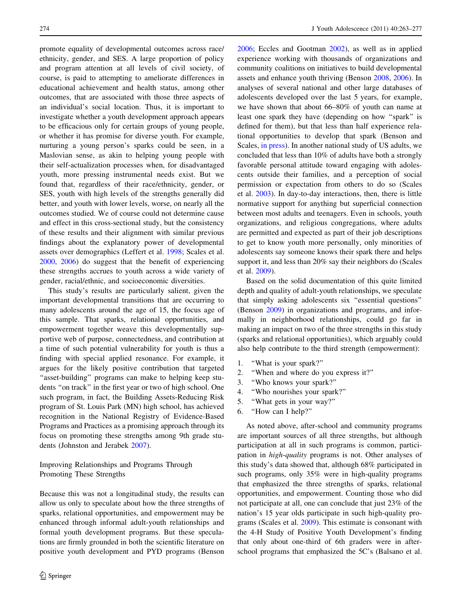promote equality of developmental outcomes across race/ ethnicity, gender, and SES. A large proportion of policy and program attention at all levels of civil society, of course, is paid to attempting to ameliorate differences in educational achievement and health status, among other outcomes, that are associated with those three aspects of an individual's social location. Thus, it is important to investigate whether a youth development approach appears to be efficacious only for certain groups of young people, or whether it has promise for diverse youth. For example, nurturing a young person's sparks could be seen, in a Maslovian sense, as akin to helping young people with their self-actualization processes when, for disadvantaged youth, more pressing instrumental needs exist. But we found that, regardless of their race/ethnicity, gender, or SES, youth with high levels of the strengths generally did better, and youth with lower levels, worse, on nearly all the outcomes studied. We of course could not determine cause and effect in this cross-sectional study, but the consistency of these results and their alignment with similar previous findings about the explanatory power of developmental assets over demographics (Leffert et al. [1998;](#page-13-0) Scales et al. [2000,](#page-13-0) [2006](#page-14-0)) do suggest that the benefit of experiencing these strengths accrues to youth across a wide variety of gender, racial/ethnic, and socioeconomic diversities.

This study's results are particularly salient, given the important developmental transitions that are occurring to many adolescents around the age of 15, the focus age of this sample. That sparks, relational opportunities, and empowerment together weave this developmentally supportive web of purpose, connectedness, and contribution at a time of such potential vulnerability for youth is thus a finding with special applied resonance. For example, it argues for the likely positive contribution that targeted "asset-building" programs can make to helping keep students "on track" in the first year or two of high school. One such program, in fact, the Building Assets-Reducing Risk program of St. Louis Park (MN) high school, has achieved recognition in the National Registry of Evidence-Based Programs and Practices as a promising approach through its focus on promoting these strengths among 9th grade students (Johnston and Jerabek [2007](#page-13-0)).

# Improving Relationships and Programs Through Promoting These Strengths

Because this was not a longitudinal study, the results can allow us only to speculate about how the three strengths of sparks, relational opportunities, and empowerment may be enhanced through informal adult-youth relationships and formal youth development programs. But these speculations are firmly grounded in both the scientific literature on positive youth development and PYD programs (Benson

[2006](#page-13-0); Eccles and Gootman [2002\)](#page-13-0), as well as in applied experience working with thousands of organizations and community coalitions on initiatives to build developmental assets and enhance youth thriving (Benson [2008,](#page-13-0) [2006](#page-13-0)). In analyses of several national and other large databases of adolescents developed over the last 5 years, for example, we have shown that about 66–80% of youth can name at least one spark they have (depending on how ''spark'' is defined for them), but that less than half experience relational opportunities to develop that spark (Benson and Scales, [in press](#page-13-0)). In another national study of US adults, we concluded that less than 10% of adults have both a strongly favorable personal attitude toward engaging with adolescents outside their families, and a perception of social permission or expectation from others to do so (Scales et al. [2003\)](#page-14-0). In day-to-day interactions, then, there is little normative support for anything but superficial connection between most adults and teenagers. Even in schools, youth organizations, and religious congregations, where adults are permitted and expected as part of their job descriptions to get to know youth more personally, only minorities of adolescents say someone knows their spark there and helps support it, and less than 20% say their neighbors do (Scales et al. [2009\)](#page-14-0).

Based on the solid documentation of this quite limited depth and quality of adult-youth relationships, we speculate that simply asking adolescents six ''essential questions'' (Benson [2009](#page-13-0)) in organizations and programs, and informally in neighborhood relationships, could go far in making an impact on two of the three strengths in this study (sparks and relational opportunities), which arguably could also help contribute to the third strength (empowerment):

- 1. ''What is your spark?''
- 2. ''When and where do you express it?''
- 3. ''Who knows your spark?''
- 4. ''Who nourishes your spark?''
- 5. ''What gets in your way?''
- 6. ''How can I help?''

As noted above, after-school and community programs are important sources of all three strengths, but although participation at all in such programs is common, participation in high-quality programs is not. Other analyses of this study's data showed that, although 68% participated in such programs, only 35% were in high-quality programs that emphasized the three strengths of sparks, relational opportunities, and empowerment. Counting those who did not participate at all, one can conclude that just 23% of the nation's 15 year olds participate in such high-quality programs (Scales et al. [2009\)](#page-14-0). This estimate is consonant with the 4-H Study of Positive Youth Development's finding that only about one-third of 6th graders were in afterschool programs that emphasized the 5C's (Balsano et al.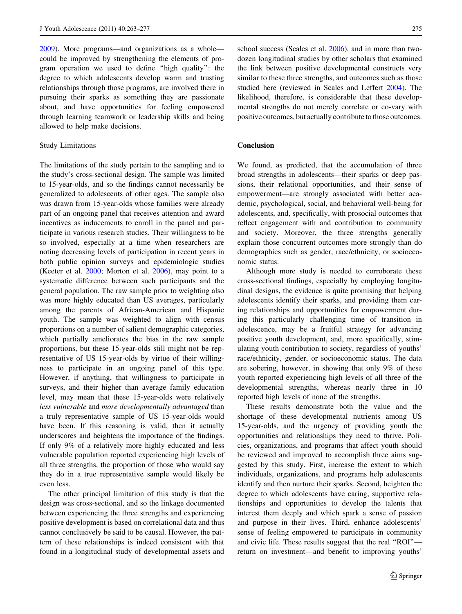[2009\)](#page-13-0). More programs—and organizations as a whole could be improved by strengthening the elements of program operation we used to define ''high quality'': the degree to which adolescents develop warm and trusting relationships through those programs, are involved there in pursuing their sparks as something they are passionate about, and have opportunities for feeling empowered through learning teamwork or leadership skills and being allowed to help make decisions.

# Study Limitations

The limitations of the study pertain to the sampling and to the study's cross-sectional design. The sample was limited to 15-year-olds, and so the findings cannot necessarily be generalized to adolescents of other ages. The sample also was drawn from 15-year-olds whose families were already part of an ongoing panel that receives attention and award incentives as inducements to enroll in the panel and participate in various research studies. Their willingness to be so involved, especially at a time when researchers are noting decreasing levels of participation in recent years in both public opinion surveys and epidemiologic studies (Keeter et al. [2000](#page-13-0); Morton et al. [2006\)](#page-13-0), may point to a systematic difference between such participants and the general population. The raw sample prior to weighting also was more highly educated than US averages, particularly among the parents of African-American and Hispanic youth. The sample was weighted to align with census proportions on a number of salient demographic categories, which partially ameliorates the bias in the raw sample proportions, but these 15-year-olds still might not be representative of US 15-year-olds by virtue of their willingness to participate in an ongoing panel of this type. However, if anything, that willingness to participate in surveys, and their higher than average family education level, may mean that these 15-year-olds were relatively less vulnerable and more developmentally advantaged than a truly representative sample of US 15-year-olds would have been. If this reasoning is valid, then it actually underscores and heightens the importance of the findings. If only 9% of a relatively more highly educated and less vulnerable population reported experiencing high levels of all three strengths, the proportion of those who would say they do in a true representative sample would likely be even less.

The other principal limitation of this study is that the design was cross-sectional, and so the linkage documented between experiencing the three strengths and experiencing positive development is based on correlational data and thus cannot conclusively be said to be causal. However, the pattern of these relationships is indeed consistent with that found in a longitudinal study of developmental assets and school success (Scales et al. [2006](#page-14-0)), and in more than twodozen longitudinal studies by other scholars that examined the link between positive developmental constructs very similar to these three strengths, and outcomes such as those studied here (reviewed in Scales and Leffert [2004](#page-14-0)). The likelihood, therefore, is considerable that these developmental strengths do not merely correlate or co-vary with positive outcomes, but actually contribute to those outcomes.

# Conclusion

We found, as predicted, that the accumulation of three broad strengths in adolescents—their sparks or deep passions, their relational opportunities, and their sense of empowerment—are strongly associated with better academic, psychological, social, and behavioral well-being for adolescents, and, specifically, with prosocial outcomes that reflect engagement with and contribution to community and society. Moreover, the three strengths generally explain those concurrent outcomes more strongly than do demographics such as gender, race/ethnicity, or socioeconomic status.

Although more study is needed to corroborate these cross-sectional findings, especially by employing longitudinal designs, the evidence is quite promising that helping adolescents identify their sparks, and providing them caring relationships and opportunities for empowerment during this particularly challenging time of transition in adolescence, may be a fruitful strategy for advancing positive youth development, and, more specifically, stimulating youth contribution to society, regardless of youths' race/ethnicity, gender, or socioeconomic status. The data are sobering, however, in showing that only 9% of these youth reported experiencing high levels of all three of the developmental strengths, whereas nearly three in 10 reported high levels of none of the strengths.

These results demonstrate both the value and the shortage of these developmental nutrients among US 15-year-olds, and the urgency of providing youth the opportunities and relationships they need to thrive. Policies, organizations, and programs that affect youth should be reviewed and improved to accomplish three aims suggested by this study. First, increase the extent to which individuals, organizations, and programs help adolescents identify and then nurture their sparks. Second, heighten the degree to which adolescents have caring, supportive relationships and opportunities to develop the talents that interest them deeply and which spark a sense of passion and purpose in their lives. Third, enhance adolescents' sense of feeling empowered to participate in community and civic life. These results suggest that the real ''ROI'' return on investment—and benefit to improving youths'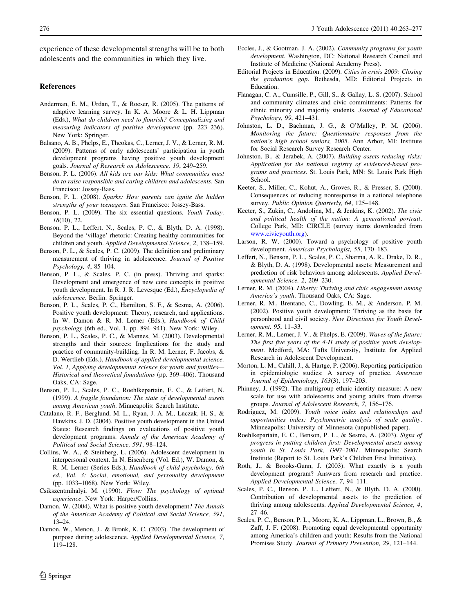<span id="page-13-0"></span>experience of these developmental strengths will be to both adolescents and the communities in which they live.

### References

- Anderman, E. M., Urdan, T., & Roeser, R. (2005). The patterns of adaptive learning survey. In K. A. Moore & L. H. Lippman (Eds.), What do children need to flourish? Conceptualizing and measuring indicators of positive development (pp. 223–236). New York: Springer.
- Balsano, A. B., Phelps, E., Theokas, C., Lerner, J. V., & Lerner, R. M. (2009). Patterns of early adolescents' participation in youth development programs having positive youth development goals. Journal of Research on Adolescence, 19, 249–259.
- Benson, P. L. (2006). All kids are our kids: What communities must do to raise responsible and caring children and adolescents. San Francisco: Jossey-Bass.
- Benson, P. L. (2008). Sparks: How parents can ignite the hidden strengths of your teenagers. San Francisco: Jossey-Bass.
- Benson, P. L. (2009). The six essential questions. Youth Today, 18(10), 22.
- Benson, P. L., Leffert, N., Scales, P. C., & Blyth, D. A. (1998). Beyond the 'village' rhetoric: Creating healthy communities for children and youth. Applied Developmental Science, 2, 138–159.
- Benson, P. L., & Scales, P. C. (2009). The definition and preliminary measurement of thriving in adolescence. Journal of Positive Psychology, 4, 85–104.
- Benson, P. L., & Scales, P. C. (in press). Thriving and sparks: Development and emergence of new core concepts in positive youth development. In R. J. R. Levesque (Ed.), Encyclopedia of adolescence. Berlin: Springer.
- Benson, P. L., Scales, P. C., Hamilton, S. F., & Sesma, A. (2006). Positive youth development: Theory, research, and applications. In W. Damon & R. M. Lerner (Eds.), Handbook of Child psychology (6th ed., Vol. 1, pp. 894–941). New York: Wiley.
- Benson, P. L., Scales, P. C., & Mannes, M. (2003). Developmental strengths and their sources: Implications for the study and practice of community-building. In R. M. Lerner, F. Jacobs, & D. Wertlieb (Eds.), Handbook of applied developmental science. Vol. 1, Applying developmental science for youth and families— Historical and theoretical foundations (pp. 369–406). Thousand Oaks, CA: Sage.
- Benson, P. L., Scales, P. C., Roehlkepartain, E. C., & Leffert, N. (1999). A fragile foundation: The state of developmental assets among American youth. Minneapolis: Search Institute.
- Catalano, R. F., Berglund, M. L., Ryan, J. A. M., Lnczak, H. S., & Hawkins, J. D. (2004). Positive youth development in the United States: Research findings on evaluations of positive youth development programs. Annals of the American Academy of Political and Social Science, 591, 98–124.
- Collins, W. A., & Steinberg, L. (2006). Adolescent development in interpersonal context. In N. Eisenberg (Vol. Ed.), W. Damon, & R. M. Lerner (Series Eds.), Handbook of child psychology, 6th ed., Vol. 3: Social, emotional, and personality development (pp. 1033–1068). New York: Wiley.
- Csikszentmihalyi, M. (1990). Flow: The psychology of optimal experience. New York: Harper/Collins.
- Damon, W. (2004). What is positive youth development? The Annals of the American Academy of Political and Social Science, 591, 13–24.
- Damon, W., Menon, J., & Bronk, K. C. (2003). The development of purpose during adolescence. Applied Developmental Science, 7, 119–128.
- Eccles, J., & Gootman, J. A. (2002). Community programs for youth development. Washington, DC: National Research Council and Institute of Medicine (National Academy Press).
- Editorial Projects in Education. (2009). Cities in crisis 2009: Closing the graduation gap. Bethesda, MD: Editorial Projects in Education.
- Flanagan, C. A., Cumsille, P., Gill, S., & Gallay, L. S. (2007). School and community climates and civic commitments: Patterns for ethnic minority and majority students. Journal of Educational Psychology, 99, 421–431.
- Johnston, L. D., Bachman, J. G., & O'Malley, P. M. (2006). Monitoring the future: Questionnaire responses from the nation's high school seniors, 2005. Ann Arbor, MI: Institute for Social Research Survey Research Center.
- Johnston, B., & Jerabek, A. (2007). Building assets-reducing risks: Application for the national registry of evidenced-based programs and practices. St. Louis Park, MN: St. Louis Park High School.
- Keeter, S., Miller, C., Kohut, A., Groves, R., & Presser, S. (2000). Consequences of reducing nonresponse in a national telephone survey. Public Opinion Quarterly, 64, 125–148.
- Keeter, S., Zukin, C., Andolina, M., & Jenkins, K. (2002). The civic and political health of the nation: A generational portrait. College Park, MD: CIRCLE (survey items downloaded from [www.civicyouth.org\)](http://www.civicyouth.org).
- Larson, R. W. (2000). Toward a psychology of positive youth development. American Psychologist, 55, 170–183.
- Leffert, N., Benson, P. L., Scales, P. C., Sharma, A. R., Drake, D. R., & Blyth, D. A. (1998). Developmental assets: Measurement and prediction of risk behaviors among adolescents. Applied Developmental Science, 2, 209–230.
- Lerner, R. M. (2004). Liberty: Thriving and civic engagement among America's youth. Thousand Oaks, CA: Sage.
- Lerner, R. M., Brentano, C., Dowling, E. M., & Anderson, P. M. (2002). Positive youth development: Thriving as the basis for personhood and civil society. New Directions for Youth Development, 95, 11–33.
- Lerner, R. M., Lerner, J. V., & Phelps, E. (2009). Waves of the future: The first five years of the 4-H study of positive youth development. Medford, MA: Tufts University, Institute for Applied Research in Adolescent Development.
- Morton, L. M., Cahill, J., & Hartge, P. (2006). Reporting participation in epidemiologic studies: A survey of practice. American Journal of Epidemiology, 163(3), 197–203.
- Phinney, J. (1992). The multigroup ethnic identity measure: A new scale for use with adolescents and young adults from diverse groups. Journal of Adolescent Research, 7, 156–176.
- Rodriguez, M. (2009). Youth voice index and relationships and opportunities index: Psychometric analysis of scale quality. Minneapolis: University of Minnesota (unpublished paper).
- Roehlkepartain, E. C., Benson, P. L., & Sesma, A. (2003). Signs of progress in putting children first: Developmental assets among youth in St. Louis Park, 1997–2001. Minneapolis: Search Institute (Report to St. Louis Park's Children First Initiative).
- Roth, J., & Brooks-Gunn, J. (2003). What exactly is a youth development program? Answers from research and practice. Applied Developmental Science, 7, 94–111.
- Scales, P. C., Benson, P. L., Leffert, N., & Blyth, D. A. (2000). Contribution of developmental assets to the prediction of thriving among adolescents. Applied Developmental Science, 4, 27–46.
- Scales, P. C., Benson, P. L., Moore, K. A., Lippman, L., Brown, B., & Zaff, J. F. (2008). Promoting equal developmental opportunity among America's children and youth: Results from the National Promises Study. Journal of Primary Prevention, 29, 121–144.